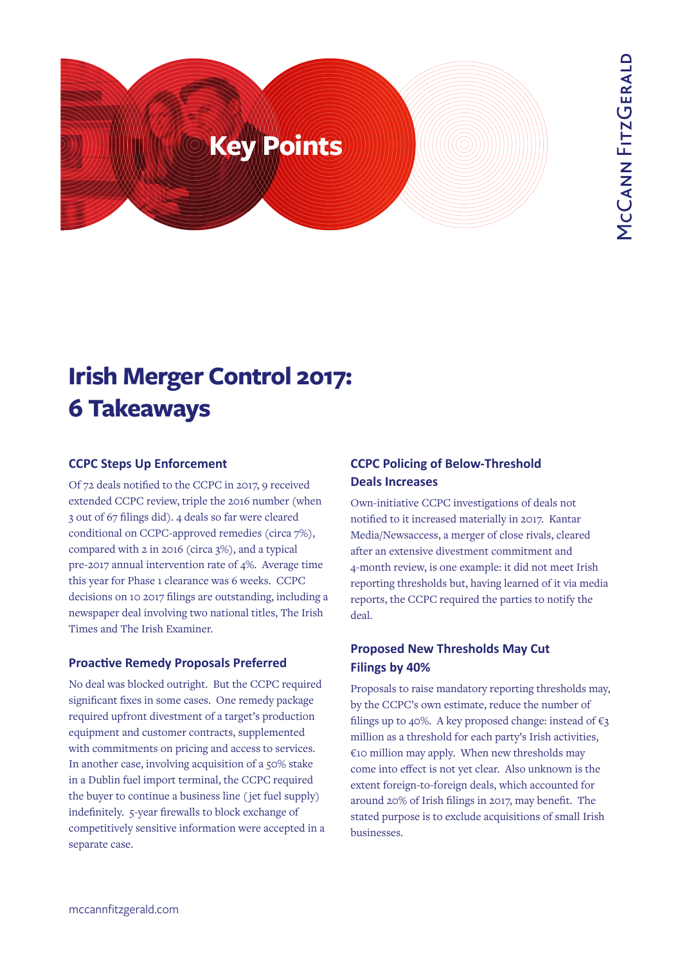

# **Irish Merger Control 2017: 6 Takeaways**

## **CCPC Steps Up Enforcement**

Of 72 deals notified to the CCPC in 2017, 9 received extended CCPC review, triple the 2016 number (when 3 out of 67 filings did). 4 deals so far were cleared conditional on CCPC-approved remedies (circa 7%), compared with 2 in 2016 (circa 3%), and a typical pre-2017 annual intervention rate of 4%. Average time this year for Phase 1 clearance was 6 weeks. CCPC decisions on 10 2017 filings are outstanding, including a newspaper deal involving two national titles, The Irish Times and The Irish Examiner.

## **Proactive Remedy Proposals Preferred**

No deal was blocked outright. But the CCPC required significant fixes in some cases. One remedy package required upfront divestment of a target's production equipment and customer contracts, supplemented with commitments on pricing and access to services. In another case, involving acquisition of a 50% stake in a Dublin fuel import terminal, the CCPC required the buyer to continue a business line ( jet fuel supply) indefinitely. 5-year firewalls to block exchange of competitively sensitive information were accepted in a separate case.

# **CCPC Policing of Below-Threshold Deals Increases**

Own-initiative CCPC investigations of deals not notified to it increased materially in 2017. Kantar Media/Newsaccess, a merger of close rivals, cleared after an extensive divestment commitment and 4-month review, is one example: it did not meet Irish reporting thresholds but, having learned of it via media reports, the CCPC required the parties to notify the deal.

# **Proposed New Thresholds May Cut Filings by 40%**

Proposals to raise mandatory reporting thresholds may, by the CCPC's own estimate, reduce the number of filings up to 40%. A key proposed change: instead of  $\epsilon_3$ million as a threshold for each party's Irish activities, €10 million may apply. When new thresholds may come into effect is not yet clear. Also unknown is the extent foreign-to-foreign deals, which accounted for around 20% of Irish filings in 2017, may benefit. The stated purpose is to exclude acquisitions of small Irish businesses.